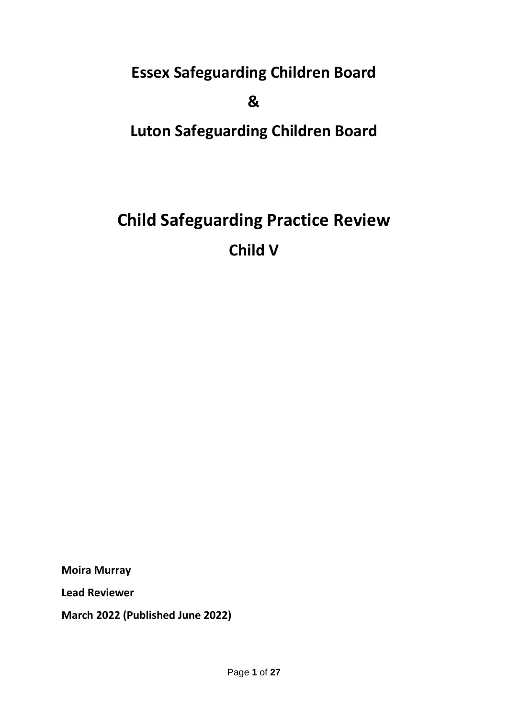**Essex Safeguarding Children Board**

**&**

**Luton Safeguarding Children Board**

# **Child Safeguarding Practice Review Child V**

**Moira Murray**

**Lead Reviewer**

**March 2022 (Published June 2022)**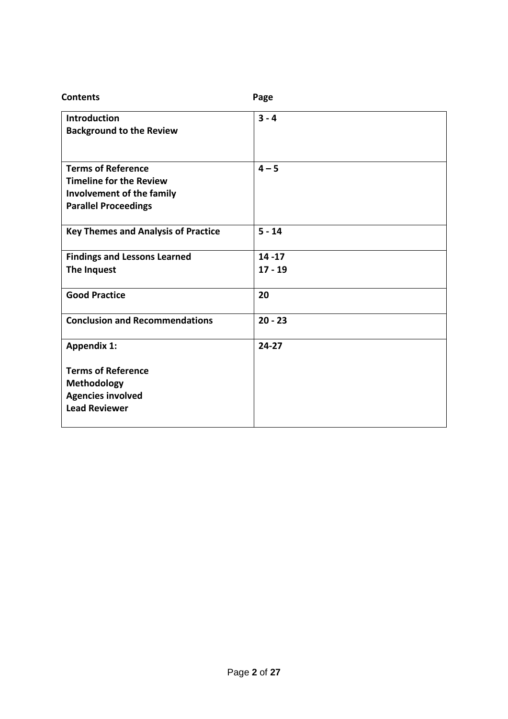| <b>Contents</b>                                        | Page      |
|--------------------------------------------------------|-----------|
| <b>Introduction</b><br><b>Background to the Review</b> | $3 - 4$   |
|                                                        |           |
| <b>Terms of Reference</b>                              | $4 - 5$   |
| <b>Timeline for the Review</b>                         |           |
| Involvement of the family                              |           |
| <b>Parallel Proceedings</b>                            |           |
| <b>Key Themes and Analysis of Practice</b>             | $5 - 14$  |
| <b>Findings and Lessons Learned</b>                    | $14 - 17$ |
| The Inquest                                            | $17 - 19$ |
| <b>Good Practice</b>                                   | 20        |
| <b>Conclusion and Recommendations</b>                  | $20 - 23$ |
| <b>Appendix 1:</b>                                     | $24-27$   |
| <b>Terms of Reference</b>                              |           |
| <b>Methodology</b>                                     |           |
| <b>Agencies involved</b>                               |           |
| <b>Lead Reviewer</b>                                   |           |
|                                                        |           |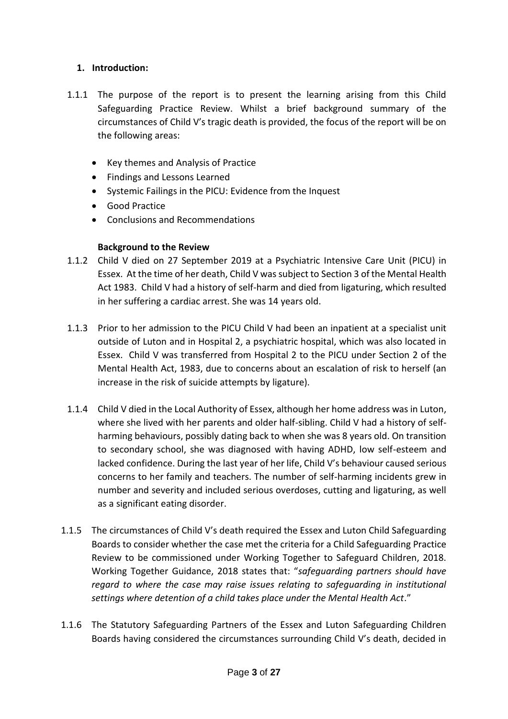#### **1. Introduction:**

- 1.1.1 The purpose of the report is to present the learning arising from this Child Safeguarding Practice Review. Whilst a brief background summary of the circumstances of Child V's tragic death is provided, the focus of the report will be on the following areas:
	- Key themes and Analysis of Practice
	- Findings and Lessons Learned
	- Systemic Failings in the PICU: Evidence from the Inquest
	- Good Practice
	- Conclusions and Recommendations

#### **Background to the Review**

- 1.1.2 Child V died on 27 September 2019 at a Psychiatric Intensive Care Unit (PICU) in Essex. At the time of her death, Child V was subject to Section 3 of the Mental Health Act 1983. Child V had a history of self-harm and died from ligaturing, which resulted in her suffering a cardiac arrest. She was 14 years old.
- 1.1.3 Prior to her admission to the PICU Child V had been an inpatient at a specialist unit outside of Luton and in Hospital 2, a psychiatric hospital, which was also located in Essex. Child V was transferred from Hospital 2 to the PICU under Section 2 of the Mental Health Act, 1983, due to concerns about an escalation of risk to herself (an increase in the risk of suicide attempts by ligature).
- 1.1.4 Child V died in the Local Authority of Essex, although her home address was in Luton, where she lived with her parents and older half-sibling. Child V had a history of selfharming behaviours, possibly dating back to when she was 8 years old. On transition to secondary school, she was diagnosed with having ADHD, low self-esteem and lacked confidence. During the last year of her life, Child V's behaviour caused serious concerns to her family and teachers. The number of self-harming incidents grew in number and severity and included serious overdoses, cutting and ligaturing, as well as a significant eating disorder.
- 1.1.5 The circumstances of Child V's death required the Essex and Luton Child Safeguarding Boards to consider whether the case met the criteria for a Child Safeguarding Practice Review to be commissioned under Working Together to Safeguard Children, 2018. Working Together Guidance, 2018 states that: "*safeguarding partners should have regard to where the case may raise issues relating to safeguarding in institutional settings where detention of a child takes place under the Mental Health Act*."
- 1.1.6 The Statutory Safeguarding Partners of the Essex and Luton Safeguarding Children Boards having considered the circumstances surrounding Child V's death, decided in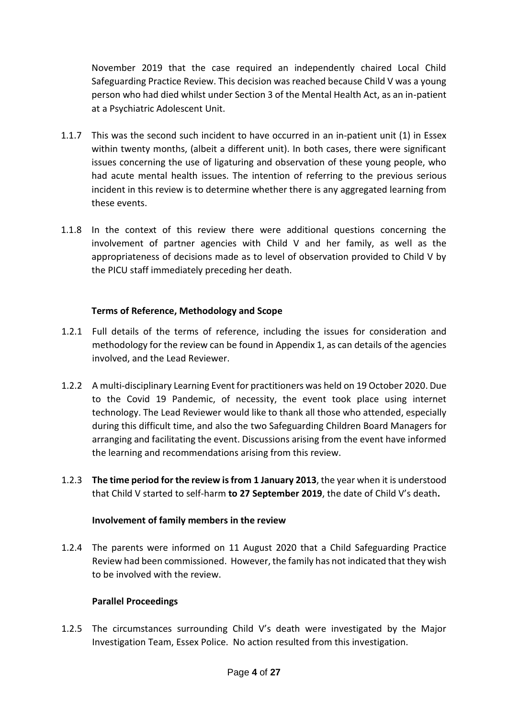November 2019 that the case required an independently chaired Local Child Safeguarding Practice Review. This decision was reached because Child V was a young person who had died whilst under Section 3 of the Mental Health Act, as an in-patient at a Psychiatric Adolescent Unit.

- 1.1.7 This was the second such incident to have occurred in an in-patient unit (1) in Essex within twenty months, (albeit a different unit). In both cases, there were significant issues concerning the use of ligaturing and observation of these young people, who had acute mental health issues. The intention of referring to the previous serious incident in this review is to determine whether there is any aggregated learning from these events.
- 1.1.8 In the context of this review there were additional questions concerning the involvement of partner agencies with Child V and her family, as well as the appropriateness of decisions made as to level of observation provided to Child V by the PICU staff immediately preceding her death.

#### **Terms of Reference, Methodology and Scope**

- 1.2.1 Full details of the terms of reference, including the issues for consideration and methodology for the review can be found in Appendix 1, as can details of the agencies involved, and the Lead Reviewer.
- 1.2.2 A multi-disciplinary Learning Event for practitioners was held on 19 October 2020. Due to the Covid 19 Pandemic, of necessity, the event took place using internet technology. The Lead Reviewer would like to thank all those who attended, especially during this difficult time, and also the two Safeguarding Children Board Managers for arranging and facilitating the event. Discussions arising from the event have informed the learning and recommendations arising from this review.
- 1.2.3 **The time period for the review is from 1 January 2013**, the year when it is understood that Child V started to self-harm **to 27 September 2019**, the date of Child V's death**.**

#### **Involvement of family members in the review**

1.2.4 The parents were informed on 11 August 2020 that a Child Safeguarding Practice Review had been commissioned. However, the family has not indicated that they wish to be involved with the review.

#### **Parallel Proceedings**

1.2.5 The circumstances surrounding Child V's death were investigated by the Major Investigation Team, Essex Police. No action resulted from this investigation.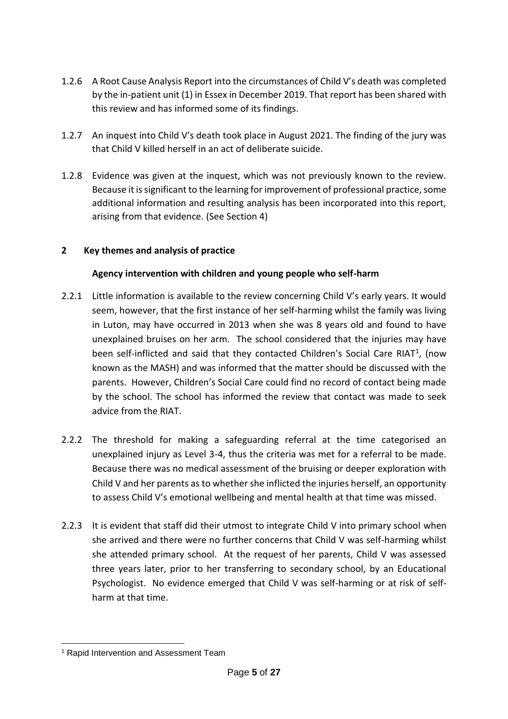- 1.2.6 A Root Cause Analysis Report into the circumstances of Child V's death was completed by the in-patient unit (1) in Essex in December 2019. That report has been shared with this review and has informed some of its findings.
- 1.2.7 An inquest into Child V's death took place in August 2021. The finding of the jury was that Child V killed herself in an act of deliberate suicide.
- 1.2.8 Evidence was given at the inquest, which was not previously known to the review. Because it is significant to the learning for improvement of professional practice, some additional information and resulting analysis has been incorporated into this report, arising from that evidence. (See Section 4)

## **2 Key themes and analysis of practice**

## **Agency intervention with children and young people who self-harm**

- 2.2.1 Little information is available to the review concerning Child V's early years. It would seem, however, that the first instance of her self-harming whilst the family was living in Luton, may have occurred in 2013 when she was 8 years old and found to have unexplained bruises on her arm. The school considered that the injuries may have been self-inflicted and said that they contacted Children's Social Care RIAT<sup>1</sup>, (now known as the MASH) and was informed that the matter should be discussed with the parents. However, Children's Social Care could find no record of contact being made by the school. The school has informed the review that contact was made to seek advice from the RIAT.
- 2.2.2 The threshold for making a safeguarding referral at the time categorised an unexplained injury as Level 3-4, thus the criteria was met for a referral to be made. Because there was no medical assessment of the bruising or deeper exploration with Child V and her parents as to whether she inflicted the injuries herself, an opportunity to assess Child V's emotional wellbeing and mental health at that time was missed.
- 2.2.3 It is evident that staff did their utmost to integrate Child V into primary school when she arrived and there were no further concerns that Child V was self-harming whilst she attended primary school. At the request of her parents, Child V was assessed three years later, prior to her transferring to secondary school, by an Educational Psychologist. No evidence emerged that Child V was self-harming or at risk of selfharm at that time.

<sup>-</sup><sup>1</sup> Rapid Intervention and Assessment Team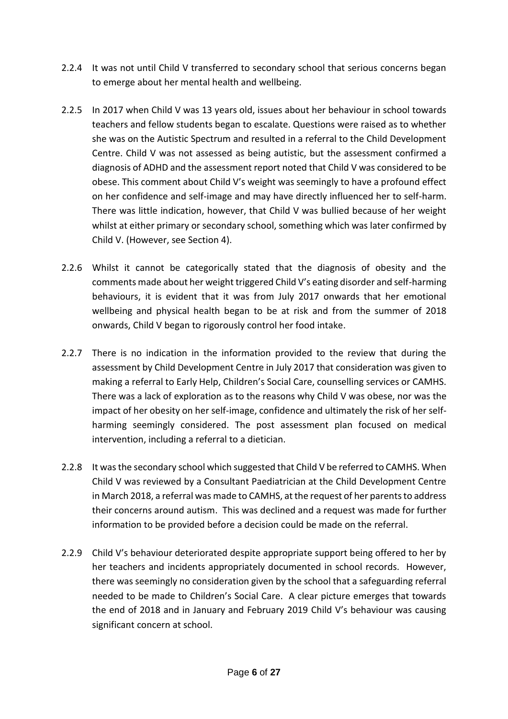- 2.2.4 It was not until Child V transferred to secondary school that serious concerns began to emerge about her mental health and wellbeing.
- 2.2.5 In 2017 when Child V was 13 years old, issues about her behaviour in school towards teachers and fellow students began to escalate. Questions were raised as to whether she was on the Autistic Spectrum and resulted in a referral to the Child Development Centre. Child V was not assessed as being autistic, but the assessment confirmed a diagnosis of ADHD and the assessment report noted that Child V was considered to be obese. This comment about Child V's weight was seemingly to have a profound effect on her confidence and self-image and may have directly influenced her to self-harm. There was little indication, however, that Child V was bullied because of her weight whilst at either primary or secondary school, something which was later confirmed by Child V. (However, see Section 4).
- 2.2.6 Whilst it cannot be categorically stated that the diagnosis of obesity and the comments made about her weight triggered Child V's eating disorder and self-harming behaviours, it is evident that it was from July 2017 onwards that her emotional wellbeing and physical health began to be at risk and from the summer of 2018 onwards, Child V began to rigorously control her food intake.
- 2.2.7 There is no indication in the information provided to the review that during the assessment by Child Development Centre in July 2017 that consideration was given to making a referral to Early Help, Children's Social Care, counselling services or CAMHS. There was a lack of exploration as to the reasons why Child V was obese, nor was the impact of her obesity on her self-image, confidence and ultimately the risk of her selfharming seemingly considered. The post assessment plan focused on medical intervention, including a referral to a dietician.
- 2.2.8 It was the secondary school which suggested that Child V be referred to CAMHS. When Child V was reviewed by a Consultant Paediatrician at the Child Development Centre in March 2018, a referral was made to CAMHS, at the request of her parents to address their concerns around autism. This was declined and a request was made for further information to be provided before a decision could be made on the referral.
- 2.2.9 Child V's behaviour deteriorated despite appropriate support being offered to her by her teachers and incidents appropriately documented in school records. However, there was seemingly no consideration given by the school that a safeguarding referral needed to be made to Children's Social Care. A clear picture emerges that towards the end of 2018 and in January and February 2019 Child V's behaviour was causing significant concern at school.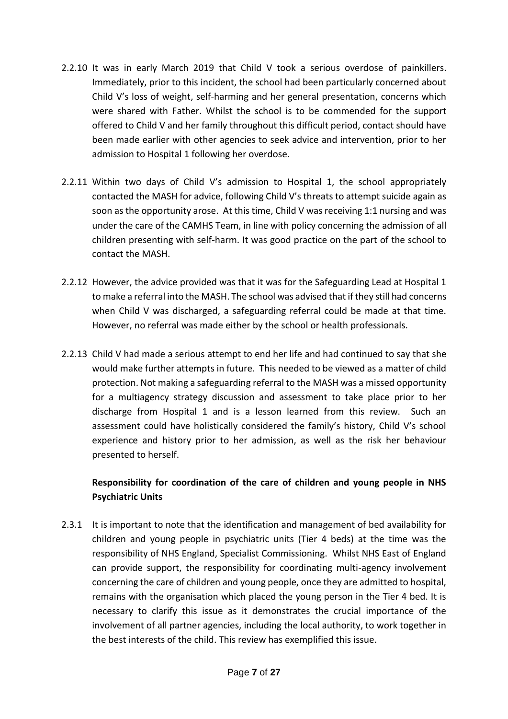- 2.2.10 It was in early March 2019 that Child V took a serious overdose of painkillers. Immediately, prior to this incident, the school had been particularly concerned about Child V's loss of weight, self-harming and her general presentation, concerns which were shared with Father. Whilst the school is to be commended for the support offered to Child V and her family throughout this difficult period, contact should have been made earlier with other agencies to seek advice and intervention, prior to her admission to Hospital 1 following her overdose.
- 2.2.11 Within two days of Child V's admission to Hospital 1, the school appropriately contacted the MASH for advice, following Child V's threats to attempt suicide again as soon as the opportunity arose. At this time, Child V was receiving 1:1 nursing and was under the care of the CAMHS Team, in line with policy concerning the admission of all children presenting with self-harm. It was good practice on the part of the school to contact the MASH.
- 2.2.12 However, the advice provided was that it was for the Safeguarding Lead at Hospital 1 to make a referral into the MASH. The school was advised that if they still had concerns when Child V was discharged, a safeguarding referral could be made at that time. However, no referral was made either by the school or health professionals.
- 2.2.13 Child V had made a serious attempt to end her life and had continued to say that she would make further attempts in future. This needed to be viewed as a matter of child protection. Not making a safeguarding referral to the MASH was a missed opportunity for a multiagency strategy discussion and assessment to take place prior to her discharge from Hospital 1 and is a lesson learned from this review. Such an assessment could have holistically considered the family's history, Child V's school experience and history prior to her admission, as well as the risk her behaviour presented to herself.

# **Responsibility for coordination of the care of children and young people in NHS Psychiatric Units**

2.3.1 It is important to note that the identification and management of bed availability for children and young people in psychiatric units (Tier 4 beds) at the time was the responsibility of NHS England, Specialist Commissioning. Whilst NHS East of England can provide support, the responsibility for coordinating multi-agency involvement concerning the care of children and young people, once they are admitted to hospital, remains with the organisation which placed the young person in the Tier 4 bed. It is necessary to clarify this issue as it demonstrates the crucial importance of the involvement of all partner agencies, including the local authority, to work together in the best interests of the child. This review has exemplified this issue.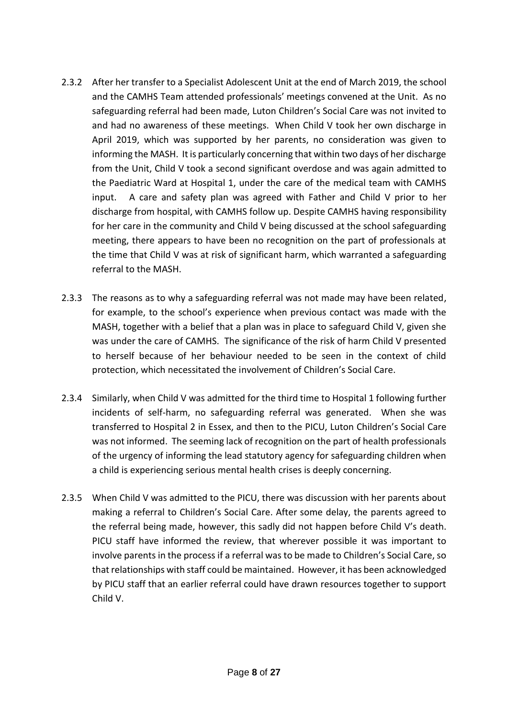- 2.3.2 After her transfer to a Specialist Adolescent Unit at the end of March 2019, the school and the CAMHS Team attended professionals' meetings convened at the Unit. As no safeguarding referral had been made, Luton Children's Social Care was not invited to and had no awareness of these meetings. When Child V took her own discharge in April 2019, which was supported by her parents, no consideration was given to informing the MASH. It is particularly concerning that within two days of her discharge from the Unit, Child V took a second significant overdose and was again admitted to the Paediatric Ward at Hospital 1, under the care of the medical team with CAMHS input. A care and safety plan was agreed with Father and Child V prior to her discharge from hospital, with CAMHS follow up. Despite CAMHS having responsibility for her care in the community and Child V being discussed at the school safeguarding meeting, there appears to have been no recognition on the part of professionals at the time that Child V was at risk of significant harm, which warranted a safeguarding referral to the MASH.
- 2.3.3 The reasons as to why a safeguarding referral was not made may have been related, for example, to the school's experience when previous contact was made with the MASH, together with a belief that a plan was in place to safeguard Child V, given she was under the care of CAMHS. The significance of the risk of harm Child V presented to herself because of her behaviour needed to be seen in the context of child protection, which necessitated the involvement of Children's Social Care.
- 2.3.4 Similarly, when Child V was admitted for the third time to Hospital 1 following further incidents of self-harm, no safeguarding referral was generated. When she was transferred to Hospital 2 in Essex, and then to the PICU, Luton Children's Social Care was not informed. The seeming lack of recognition on the part of health professionals of the urgency of informing the lead statutory agency for safeguarding children when a child is experiencing serious mental health crises is deeply concerning.
- 2.3.5 When Child V was admitted to the PICU, there was discussion with her parents about making a referral to Children's Social Care. After some delay, the parents agreed to the referral being made, however, this sadly did not happen before Child V's death. PICU staff have informed the review, that wherever possible it was important to involve parents in the process if a referral was to be made to Children's Social Care, so that relationships with staff could be maintained. However, it has been acknowledged by PICU staff that an earlier referral could have drawn resources together to support Child V.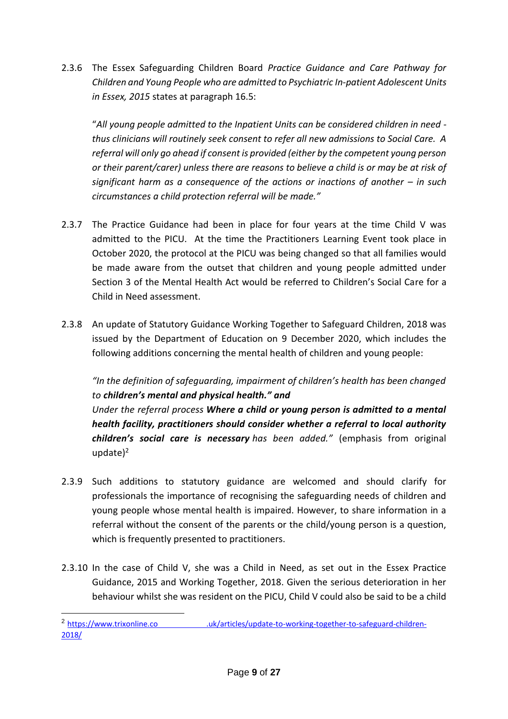2.3.6 The Essex Safeguarding Children Board *Practice Guidance and Care Pathway for Children and Young People who are admitted to Psychiatric In-patient Adolescent Units in Essex, 2015* states at paragraph 16.5:

"*All young people admitted to the Inpatient Units can be considered children in need thus clinicians will routinely seek consent to refer all new admissions to Social Care. A referral will only go ahead if consent is provided (either by the competent young person or their parent/carer) unless there are reasons to believe a child is or may be at risk of significant harm as a consequence of the actions or inactions of another – in such circumstances a child protection referral will be made."*

- 2.3.7 The Practice Guidance had been in place for four years at the time Child V was admitted to the PICU. At the time the Practitioners Learning Event took place in October 2020, the protocol at the PICU was being changed so that all families would be made aware from the outset that children and young people admitted under Section 3 of the Mental Health Act would be referred to Children's Social Care for a Child in Need assessment.
- 2.3.8 An update of Statutory Guidance Working Together to Safeguard Children, 2018 was issued by the Department of Education on 9 December 2020, which includes the following additions concerning the mental health of children and young people:

*"In the definition of safeguarding, impairment of children's health has been changed to children's mental and physical health." and Under the referral process Where a child or young person is admitted to a mental health facility, practitioners should consider whether a referral to local authority children's social care is necessary has been added."* (emphasis from original update $)^2$ 

- 2.3.9 Such additions to statutory guidance are welcomed and should clarify for professionals the importance of recognising the safeguarding needs of children and young people whose mental health is impaired. However, to share information in a referral without the consent of the parents or the child/young person is a question, which is frequently presented to practitioners.
- 2.3.10 In the case of Child V, she was a Child in Need, as set out in the Essex Practice Guidance, 2015 and Working Together, 2018. Given the serious deterioration in her behaviour whilst she was resident on the PICU, Child V could also be said to be a child

<sup>2</sup> https://www.trixonline.co .uk/articles/update-to-working-together-to-safeguard-children-2018/

-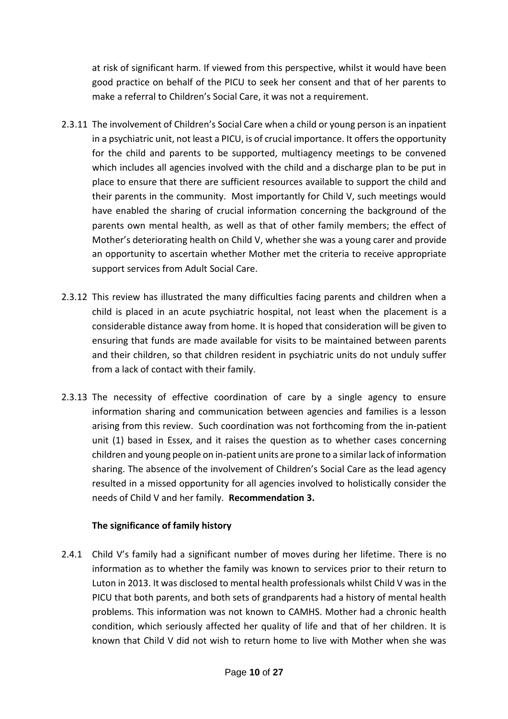at risk of significant harm. If viewed from this perspective, whilst it would have been good practice on behalf of the PICU to seek her consent and that of her parents to make a referral to Children's Social Care, it was not a requirement.

- 2.3.11 The involvement of Children's Social Care when a child or young person is an inpatient in a psychiatric unit, not least a PICU, is of crucial importance. It offers the opportunity for the child and parents to be supported, multiagency meetings to be convened which includes all agencies involved with the child and a discharge plan to be put in place to ensure that there are sufficient resources available to support the child and their parents in the community. Most importantly for Child V, such meetings would have enabled the sharing of crucial information concerning the background of the parents own mental health, as well as that of other family members; the effect of Mother's deteriorating health on Child V, whether she was a young carer and provide an opportunity to ascertain whether Mother met the criteria to receive appropriate support services from Adult Social Care.
- 2.3.12 This review has illustrated the many difficulties facing parents and children when a child is placed in an acute psychiatric hospital, not least when the placement is a considerable distance away from home. It is hoped that consideration will be given to ensuring that funds are made available for visits to be maintained between parents and their children, so that children resident in psychiatric units do not unduly suffer from a lack of contact with their family.
- 2.3.13 The necessity of effective coordination of care by a single agency to ensure information sharing and communication between agencies and families is a lesson arising from this review. Such coordination was not forthcoming from the in-patient unit (1) based in Essex, and it raises the question as to whether cases concerning children and young people on in-patient units are prone to a similar lack of information sharing. The absence of the involvement of Children's Social Care as the lead agency resulted in a missed opportunity for all agencies involved to holistically consider the needs of Child V and her family. **Recommendation 3.**

#### **The significance of family history**

2.4.1 Child V's family had a significant number of moves during her lifetime. There is no information as to whether the family was known to services prior to their return to Luton in 2013. It was disclosed to mental health professionals whilst Child V was in the PICU that both parents, and both sets of grandparents had a history of mental health problems. This information was not known to CAMHS. Mother had a chronic health condition, which seriously affected her quality of life and that of her children. It is known that Child V did not wish to return home to live with Mother when she was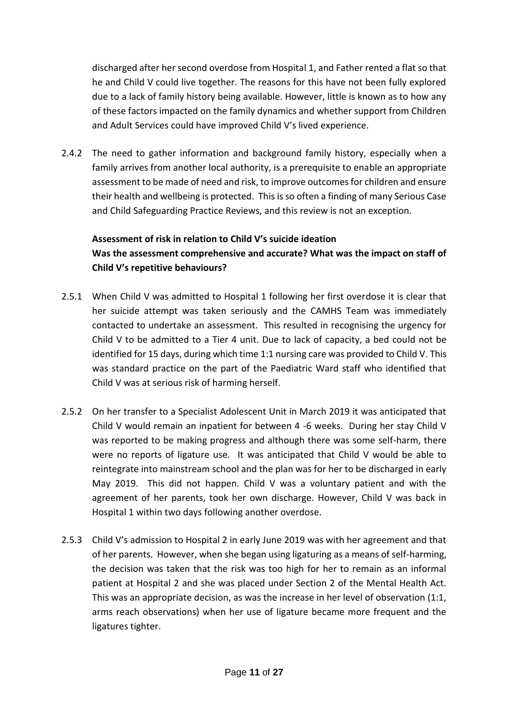discharged after her second overdose from Hospital 1, and Father rented a flat so that he and Child V could live together. The reasons for this have not been fully explored due to a lack of family history being available. However, little is known as to how any of these factors impacted on the family dynamics and whether support from Children and Adult Services could have improved Child V's lived experience.

2.4.2 The need to gather information and background family history, especially when a family arrives from another local authority, is a prerequisite to enable an appropriate assessment to be made of need and risk, to improve outcomes for children and ensure their health and wellbeing is protected. This is so often a finding of many Serious Case and Child Safeguarding Practice Reviews, and this review is not an exception.

#### **Assessment of risk in relation to Child V's suicide ideation**

# **Was the assessment comprehensive and accurate? What was the impact on staff of Child V's repetitive behaviours?**

- 2.5.1 When Child V was admitted to Hospital 1 following her first overdose it is clear that her suicide attempt was taken seriously and the CAMHS Team was immediately contacted to undertake an assessment. This resulted in recognising the urgency for Child V to be admitted to a Tier 4 unit. Due to lack of capacity, a bed could not be identified for 15 days, during which time 1:1 nursing care was provided to Child V. This was standard practice on the part of the Paediatric Ward staff who identified that Child V was at serious risk of harming herself.
- 2.5.2 On her transfer to a Specialist Adolescent Unit in March 2019 it was anticipated that Child V would remain an inpatient for between 4 -6 weeks. During her stay Child V was reported to be making progress and although there was some self-harm, there were no reports of ligature use. It was anticipated that Child V would be able to reintegrate into mainstream school and the plan was for her to be discharged in early May 2019. This did not happen. Child V was a voluntary patient and with the agreement of her parents, took her own discharge. However, Child V was back in Hospital 1 within two days following another overdose.
- 2.5.3 Child V's admission to Hospital 2 in early June 2019 was with her agreement and that of her parents. However, when she began using ligaturing as a means of self-harming, the decision was taken that the risk was too high for her to remain as an informal patient at Hospital 2 and she was placed under Section 2 of the Mental Health Act. This was an appropriate decision, as was the increase in her level of observation (1:1, arms reach observations) when her use of ligature became more frequent and the ligatures tighter.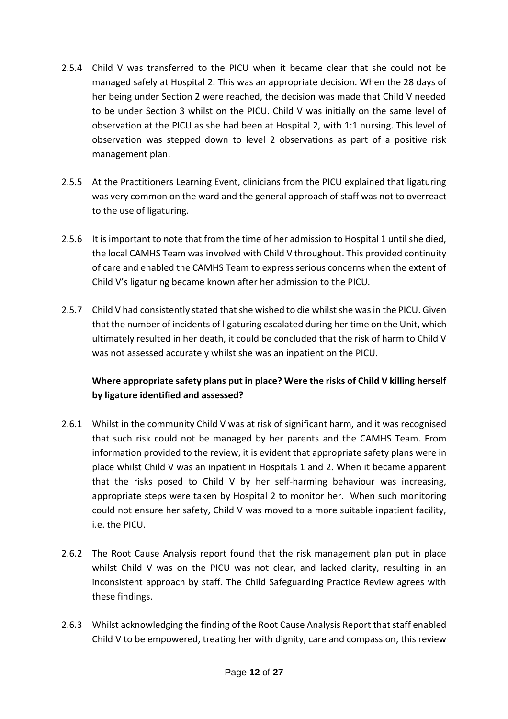- 2.5.4 Child V was transferred to the PICU when it became clear that she could not be managed safely at Hospital 2. This was an appropriate decision. When the 28 days of her being under Section 2 were reached, the decision was made that Child V needed to be under Section 3 whilst on the PICU. Child V was initially on the same level of observation at the PICU as she had been at Hospital 2, with 1:1 nursing. This level of observation was stepped down to level 2 observations as part of a positive risk management plan.
- 2.5.5 At the Practitioners Learning Event, clinicians from the PICU explained that ligaturing was very common on the ward and the general approach of staff was not to overreact to the use of ligaturing.
- 2.5.6 It is important to note that from the time of her admission to Hospital 1 until she died, the local CAMHS Team was involved with Child V throughout. This provided continuity of care and enabled the CAMHS Team to express serious concerns when the extent of Child V's ligaturing became known after her admission to the PICU.
- 2.5.7 Child V had consistently stated that she wished to die whilst she was in the PICU. Given that the number of incidents of ligaturing escalated during her time on the Unit, which ultimately resulted in her death, it could be concluded that the risk of harm to Child V was not assessed accurately whilst she was an inpatient on the PICU.

# **Where appropriate safety plans put in place? Were the risks of Child V killing herself by ligature identified and assessed?**

- 2.6.1 Whilst in the community Child V was at risk of significant harm, and it was recognised that such risk could not be managed by her parents and the CAMHS Team. From information provided to the review, it is evident that appropriate safety plans were in place whilst Child V was an inpatient in Hospitals 1 and 2. When it became apparent that the risks posed to Child V by her self-harming behaviour was increasing, appropriate steps were taken by Hospital 2 to monitor her. When such monitoring could not ensure her safety, Child V was moved to a more suitable inpatient facility, i.e. the PICU.
- 2.6.2 The Root Cause Analysis report found that the risk management plan put in place whilst Child V was on the PICU was not clear, and lacked clarity, resulting in an inconsistent approach by staff. The Child Safeguarding Practice Review agrees with these findings.
- 2.6.3 Whilst acknowledging the finding of the Root Cause Analysis Report that staff enabled Child V to be empowered, treating her with dignity, care and compassion, this review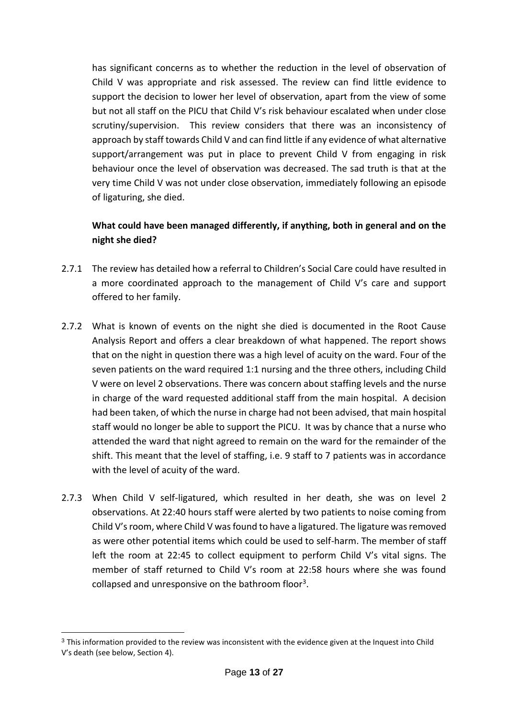has significant concerns as to whether the reduction in the level of observation of Child V was appropriate and risk assessed. The review can find little evidence to support the decision to lower her level of observation, apart from the view of some but not all staff on the PICU that Child V's risk behaviour escalated when under close scrutiny/supervision. This review considers that there was an inconsistency of approach by staff towards Child V and can find little if any evidence of what alternative support/arrangement was put in place to prevent Child V from engaging in risk behaviour once the level of observation was decreased. The sad truth is that at the very time Child V was not under close observation, immediately following an episode of ligaturing, she died.

# **What could have been managed differently, if anything, both in general and on the night she died?**

- 2.7.1 The review has detailed how a referral to Children's Social Care could have resulted in a more coordinated approach to the management of Child V's care and support offered to her family.
- 2.7.2 What is known of events on the night she died is documented in the Root Cause Analysis Report and offers a clear breakdown of what happened. The report shows that on the night in question there was a high level of acuity on the ward. Four of the seven patients on the ward required 1:1 nursing and the three others, including Child V were on level 2 observations. There was concern about staffing levels and the nurse in charge of the ward requested additional staff from the main hospital. A decision had been taken, of which the nurse in charge had not been advised, that main hospital staff would no longer be able to support the PICU. It was by chance that a nurse who attended the ward that night agreed to remain on the ward for the remainder of the shift. This meant that the level of staffing, i.e. 9 staff to 7 patients was in accordance with the level of acuity of the ward.
- 2.7.3 When Child V self-ligatured, which resulted in her death, she was on level 2 observations. At 22:40 hours staff were alerted by two patients to noise coming from Child V's room, where Child V was found to have a ligatured. The ligature was removed as were other potential items which could be used to self-harm. The member of staff left the room at 22:45 to collect equipment to perform Child V's vital signs. The member of staff returned to Child V's room at 22:58 hours where she was found collapsed and unresponsive on the bathroom floor<sup>3</sup>.

-

<sup>3</sup> This information provided to the review was inconsistent with the evidence given at the Inquest into Child V's death (see below, Section 4).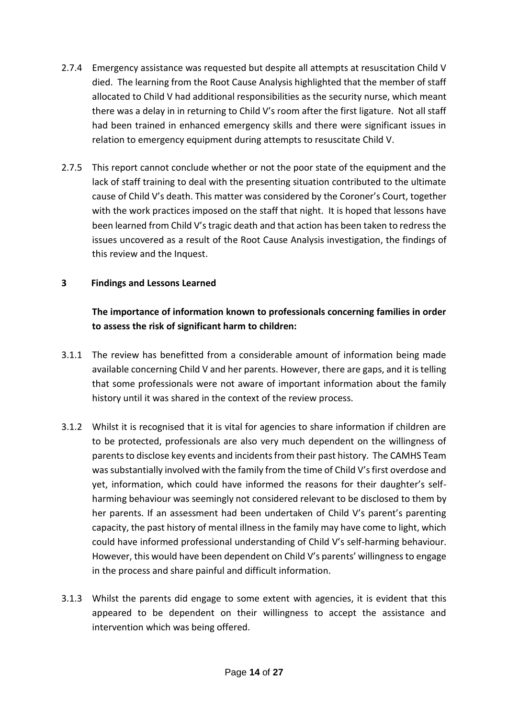- 2.7.4 Emergency assistance was requested but despite all attempts at resuscitation Child V died. The learning from the Root Cause Analysis highlighted that the member of staff allocated to Child V had additional responsibilities as the security nurse, which meant there was a delay in in returning to Child V's room after the first ligature. Not all staff had been trained in enhanced emergency skills and there were significant issues in relation to emergency equipment during attempts to resuscitate Child V.
- 2.7.5 This report cannot conclude whether or not the poor state of the equipment and the lack of staff training to deal with the presenting situation contributed to the ultimate cause of Child V's death. This matter was considered by the Coroner's Court, together with the work practices imposed on the staff that night. It is hoped that lessons have been learned from Child V's tragic death and that action has been taken to redress the issues uncovered as a result of the Root Cause Analysis investigation, the findings of this review and the Inquest.

#### **3 Findings and Lessons Learned**

# **The importance of information known to professionals concerning families in order to assess the risk of significant harm to children:**

- 3.1.1 The review has benefitted from a considerable amount of information being made available concerning Child V and her parents. However, there are gaps, and it is telling that some professionals were not aware of important information about the family history until it was shared in the context of the review process.
- 3.1.2 Whilst it is recognised that it is vital for agencies to share information if children are to be protected, professionals are also very much dependent on the willingness of parents to disclose key events and incidents from their past history. The CAMHS Team was substantially involved with the family from the time of Child V's first overdose and yet, information, which could have informed the reasons for their daughter's selfharming behaviour was seemingly not considered relevant to be disclosed to them by her parents. If an assessment had been undertaken of Child V's parent's parenting capacity, the past history of mental illness in the family may have come to light, which could have informed professional understanding of Child V's self-harming behaviour. However, this would have been dependent on Child V's parents' willingness to engage in the process and share painful and difficult information.
- 3.1.3 Whilst the parents did engage to some extent with agencies, it is evident that this appeared to be dependent on their willingness to accept the assistance and intervention which was being offered.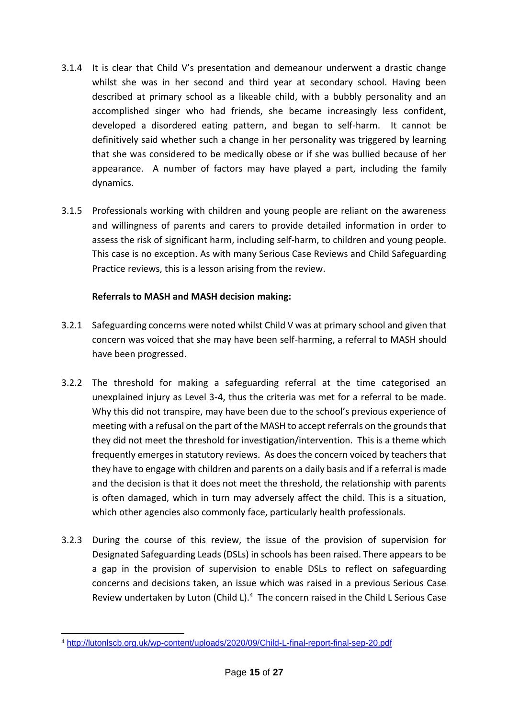- 3.1.4 It is clear that Child V's presentation and demeanour underwent a drastic change whilst she was in her second and third year at secondary school. Having been described at primary school as a likeable child, with a bubbly personality and an accomplished singer who had friends, she became increasingly less confident, developed a disordered eating pattern, and began to self-harm. It cannot be definitively said whether such a change in her personality was triggered by learning that she was considered to be medically obese or if she was bullied because of her appearance. A number of factors may have played a part, including the family dynamics.
- 3.1.5 Professionals working with children and young people are reliant on the awareness and willingness of parents and carers to provide detailed information in order to assess the risk of significant harm, including self-harm, to children and young people. This case is no exception. As with many Serious Case Reviews and Child Safeguarding Practice reviews, this is a lesson arising from the review.

## **Referrals to MASH and MASH decision making:**

- 3.2.1 Safeguarding concerns were noted whilst Child V was at primary school and given that concern was voiced that she may have been self-harming, a referral to MASH should have been progressed.
- 3.2.2 The threshold for making a safeguarding referral at the time categorised an unexplained injury as Level 3-4, thus the criteria was met for a referral to be made. Why this did not transpire, may have been due to the school's previous experience of meeting with a refusal on the part of the MASH to accept referrals on the grounds that they did not meet the threshold for investigation/intervention. This is a theme which frequently emerges in statutory reviews. As does the concern voiced by teachers that they have to engage with children and parents on a daily basis and if a referral is made and the decision is that it does not meet the threshold, the relationship with parents is often damaged, which in turn may adversely affect the child. This is a situation, which other agencies also commonly face, particularly health professionals.
- 3.2.3 During the course of this review, the issue of the provision of supervision for Designated Safeguarding Leads (DSLs) in schools has been raised. There appears to be a gap in the provision of supervision to enable DSLs to reflect on safeguarding concerns and decisions taken, an issue which was raised in a previous Serious Case Review undertaken by Luton (Child L).<sup>4</sup> The concern raised in the Child L Serious Case

<sup>-</sup><sup>4</sup> <http://lutonlscb.org.uk/wp-content/uploads/2020/09/Child-L-final-report-final-sep-20.pdf>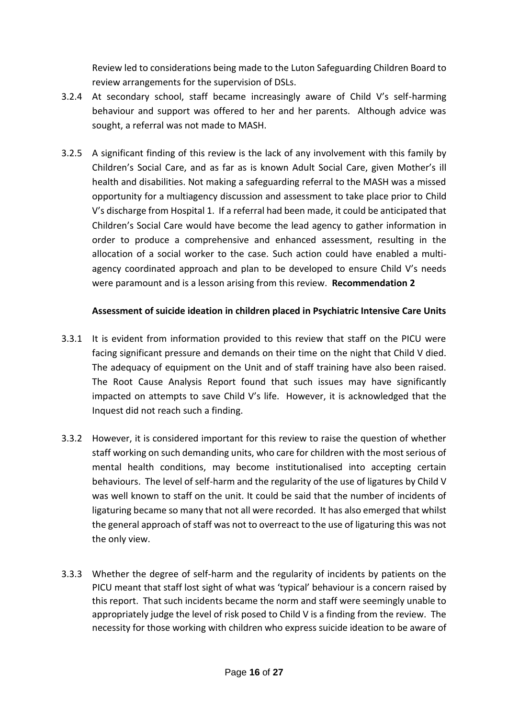Review led to considerations being made to the Luton Safeguarding Children Board to review arrangements for the supervision of DSLs.

- 3.2.4 At secondary school, staff became increasingly aware of Child V's self-harming behaviour and support was offered to her and her parents. Although advice was sought, a referral was not made to MASH.
- 3.2.5 A significant finding of this review is the lack of any involvement with this family by Children's Social Care, and as far as is known Adult Social Care, given Mother's ill health and disabilities. Not making a safeguarding referral to the MASH was a missed opportunity for a multiagency discussion and assessment to take place prior to Child V's discharge from Hospital 1. If a referral had been made, it could be anticipated that Children's Social Care would have become the lead agency to gather information in order to produce a comprehensive and enhanced assessment, resulting in the allocation of a social worker to the case. Such action could have enabled a multiagency coordinated approach and plan to be developed to ensure Child V's needs were paramount and is a lesson arising from this review. **Recommendation 2**

#### **Assessment of suicide ideation in children placed in Psychiatric Intensive Care Units**

- 3.3.1 It is evident from information provided to this review that staff on the PICU were facing significant pressure and demands on their time on the night that Child V died. The adequacy of equipment on the Unit and of staff training have also been raised. The Root Cause Analysis Report found that such issues may have significantly impacted on attempts to save Child V's life. However, it is acknowledged that the Inquest did not reach such a finding.
- 3.3.2 However, it is considered important for this review to raise the question of whether staff working on such demanding units, who care for children with the most serious of mental health conditions, may become institutionalised into accepting certain behaviours. The level of self-harm and the regularity of the use of ligatures by Child V was well known to staff on the unit. It could be said that the number of incidents of ligaturing became so many that not all were recorded. It has also emerged that whilst the general approach of staff was not to overreact to the use of ligaturing this was not the only view.
- 3.3.3 Whether the degree of self-harm and the regularity of incidents by patients on the PICU meant that staff lost sight of what was 'typical' behaviour is a concern raised by this report. That such incidents became the norm and staff were seemingly unable to appropriately judge the level of risk posed to Child V is a finding from the review. The necessity for those working with children who express suicide ideation to be aware of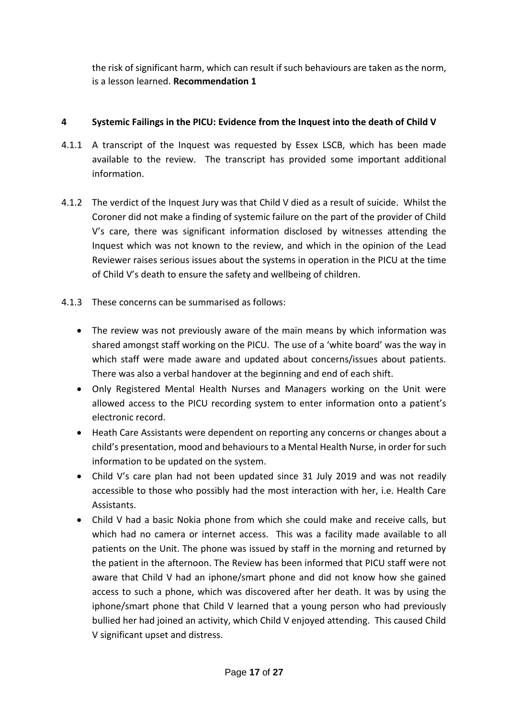the risk of significant harm, which can result if such behaviours are taken as the norm, is a lesson learned. **Recommendation 1**

## **4 Systemic Failings in the PICU: Evidence from the Inquest into the death of Child V**

- 4.1.1 A transcript of the Inquest was requested by Essex LSCB, which has been made available to the review. The transcript has provided some important additional information.
- 4.1.2 The verdict of the Inquest Jury was that Child V died as a result of suicide. Whilst the Coroner did not make a finding of systemic failure on the part of the provider of Child V's care, there was significant information disclosed by witnesses attending the Inquest which was not known to the review, and which in the opinion of the Lead Reviewer raises serious issues about the systems in operation in the PICU at the time of Child V's death to ensure the safety and wellbeing of children.
- 4.1.3 These concerns can be summarised as follows:
	- The review was not previously aware of the main means by which information was shared amongst staff working on the PICU. The use of a 'white board' was the way in which staff were made aware and updated about concerns/issues about patients. There was also a verbal handover at the beginning and end of each shift.
	- Only Registered Mental Health Nurses and Managers working on the Unit were allowed access to the PICU recording system to enter information onto a patient's electronic record.
	- Heath Care Assistants were dependent on reporting any concerns or changes about a child's presentation, mood and behaviours to a Mental Health Nurse, in order for such information to be updated on the system.
	- Child V's care plan had not been updated since 31 July 2019 and was not readily accessible to those who possibly had the most interaction with her, i.e. Health Care Assistants.
	- Child V had a basic Nokia phone from which she could make and receive calls, but which had no camera or internet access. This was a facility made available to all patients on the Unit. The phone was issued by staff in the morning and returned by the patient in the afternoon. The Review has been informed that PICU staff were not aware that Child V had an iphone/smart phone and did not know how she gained access to such a phone, which was discovered after her death. It was by using the iphone/smart phone that Child V learned that a young person who had previously bullied her had joined an activity, which Child V enjoyed attending. This caused Child V significant upset and distress.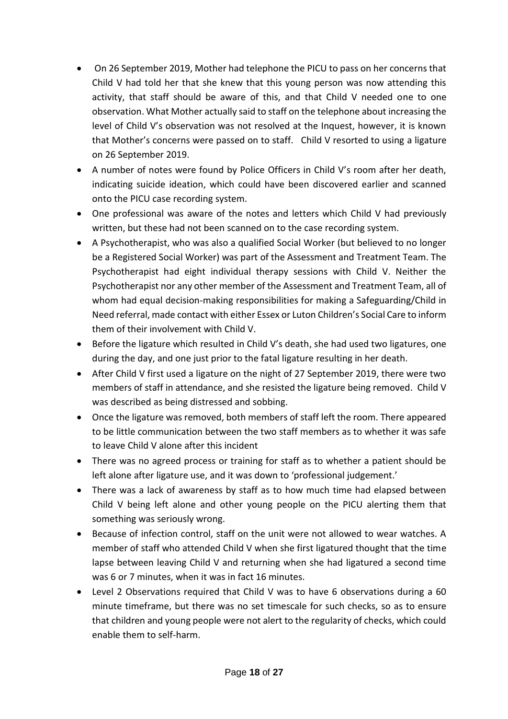- On 26 September 2019, Mother had telephone the PICU to pass on her concerns that Child V had told her that she knew that this young person was now attending this activity, that staff should be aware of this, and that Child V needed one to one observation. What Mother actually said to staff on the telephone about increasing the level of Child V's observation was not resolved at the Inquest, however, it is known that Mother's concerns were passed on to staff. Child V resorted to using a ligature on 26 September 2019.
- A number of notes were found by Police Officers in Child V's room after her death, indicating suicide ideation, which could have been discovered earlier and scanned onto the PICU case recording system.
- One professional was aware of the notes and letters which Child V had previously written, but these had not been scanned on to the case recording system.
- A Psychotherapist, who was also a qualified Social Worker (but believed to no longer be a Registered Social Worker) was part of the Assessment and Treatment Team. The Psychotherapist had eight individual therapy sessions with Child V. Neither the Psychotherapist nor any other member of the Assessment and Treatment Team, all of whom had equal decision-making responsibilities for making a Safeguarding/Child in Need referral, made contact with either Essex or Luton Children's Social Care to inform them of their involvement with Child V.
- Before the ligature which resulted in Child V's death, she had used two ligatures, one during the day, and one just prior to the fatal ligature resulting in her death.
- After Child V first used a ligature on the night of 27 September 2019, there were two members of staff in attendance, and she resisted the ligature being removed. Child V was described as being distressed and sobbing.
- Once the ligature was removed, both members of staff left the room. There appeared to be little communication between the two staff members as to whether it was safe to leave Child V alone after this incident
- There was no agreed process or training for staff as to whether a patient should be left alone after ligature use, and it was down to 'professional judgement.'
- There was a lack of awareness by staff as to how much time had elapsed between Child V being left alone and other young people on the PICU alerting them that something was seriously wrong.
- Because of infection control, staff on the unit were not allowed to wear watches. A member of staff who attended Child V when she first ligatured thought that the time lapse between leaving Child V and returning when she had ligatured a second time was 6 or 7 minutes, when it was in fact 16 minutes.
- Level 2 Observations required that Child V was to have 6 observations during a 60 minute timeframe, but there was no set timescale for such checks, so as to ensure that children and young people were not alert to the regularity of checks, which could enable them to self-harm.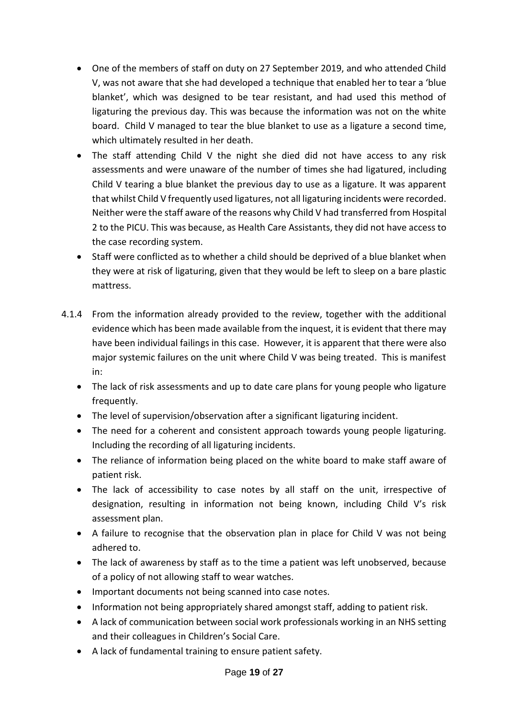- One of the members of staff on duty on 27 September 2019, and who attended Child V, was not aware that she had developed a technique that enabled her to tear a 'blue blanket', which was designed to be tear resistant, and had used this method of ligaturing the previous day. This was because the information was not on the white board. Child V managed to tear the blue blanket to use as a ligature a second time, which ultimately resulted in her death.
- The staff attending Child V the night she died did not have access to any risk assessments and were unaware of the number of times she had ligatured, including Child V tearing a blue blanket the previous day to use as a ligature. It was apparent that whilst Child V frequently used ligatures, not all ligaturing incidents were recorded. Neither were the staff aware of the reasons why Child V had transferred from Hospital 2 to the PICU. This was because, as Health Care Assistants, they did not have access to the case recording system.
- Staff were conflicted as to whether a child should be deprived of a blue blanket when they were at risk of ligaturing, given that they would be left to sleep on a bare plastic mattress.
- 4.1.4 From the information already provided to the review, together with the additional evidence which has been made available from the inquest, it is evident that there may have been individual failings in this case. However, it is apparent that there were also major systemic failures on the unit where Child V was being treated. This is manifest in:
	- The lack of risk assessments and up to date care plans for young people who ligature frequently.
	- The level of supervision/observation after a significant ligaturing incident.
	- The need for a coherent and consistent approach towards young people ligaturing. Including the recording of all ligaturing incidents.
	- The reliance of information being placed on the white board to make staff aware of patient risk.
	- The lack of accessibility to case notes by all staff on the unit, irrespective of designation, resulting in information not being known, including Child V's risk assessment plan.
	- A failure to recognise that the observation plan in place for Child V was not being adhered to.
	- The lack of awareness by staff as to the time a patient was left unobserved, because of a policy of not allowing staff to wear watches.
	- Important documents not being scanned into case notes.
	- Information not being appropriately shared amongst staff, adding to patient risk.
	- A lack of communication between social work professionals working in an NHS setting and their colleagues in Children's Social Care.
	- A lack of fundamental training to ensure patient safety.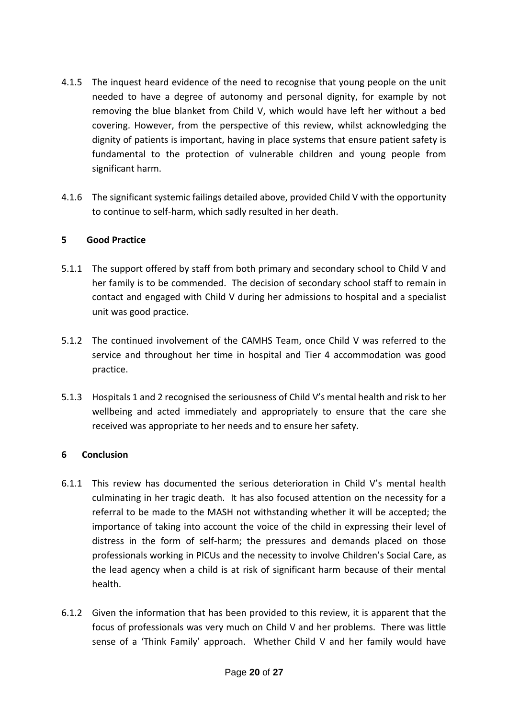- 4.1.5 The inquest heard evidence of the need to recognise that young people on the unit needed to have a degree of autonomy and personal dignity, for example by not removing the blue blanket from Child V, which would have left her without a bed covering. However, from the perspective of this review, whilst acknowledging the dignity of patients is important, having in place systems that ensure patient safety is fundamental to the protection of vulnerable children and young people from significant harm.
- 4.1.6 The significant systemic failings detailed above, provided Child V with the opportunity to continue to self-harm, which sadly resulted in her death.

#### **5 Good Practice**

- 5.1.1 The support offered by staff from both primary and secondary school to Child V and her family is to be commended. The decision of secondary school staff to remain in contact and engaged with Child V during her admissions to hospital and a specialist unit was good practice.
- 5.1.2 The continued involvement of the CAMHS Team, once Child V was referred to the service and throughout her time in hospital and Tier 4 accommodation was good practice.
- 5.1.3 Hospitals 1 and 2 recognised the seriousness of Child V's mental health and risk to her wellbeing and acted immediately and appropriately to ensure that the care she received was appropriate to her needs and to ensure her safety.

## **6 Conclusion**

- 6.1.1 This review has documented the serious deterioration in Child V's mental health culminating in her tragic death. It has also focused attention on the necessity for a referral to be made to the MASH not withstanding whether it will be accepted; the importance of taking into account the voice of the child in expressing their level of distress in the form of self-harm; the pressures and demands placed on those professionals working in PICUs and the necessity to involve Children's Social Care, as the lead agency when a child is at risk of significant harm because of their mental health.
- 6.1.2 Given the information that has been provided to this review, it is apparent that the focus of professionals was very much on Child V and her problems. There was little sense of a 'Think Family' approach. Whether Child V and her family would have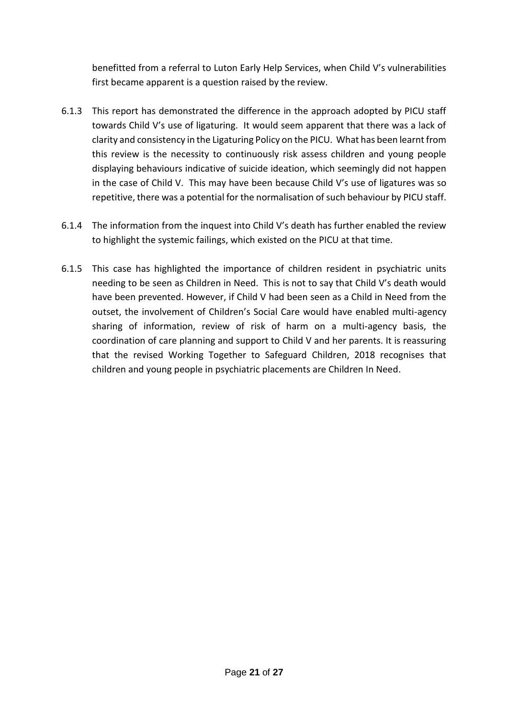benefitted from a referral to Luton Early Help Services, when Child V's vulnerabilities first became apparent is a question raised by the review.

- 6.1.3 This report has demonstrated the difference in the approach adopted by PICU staff towards Child V's use of ligaturing. It would seem apparent that there was a lack of clarity and consistency in the Ligaturing Policy on the PICU. What has been learnt from this review is the necessity to continuously risk assess children and young people displaying behaviours indicative of suicide ideation, which seemingly did not happen in the case of Child V. This may have been because Child V's use of ligatures was so repetitive, there was a potential for the normalisation of such behaviour by PICU staff.
- 6.1.4 The information from the inquest into Child V's death has further enabled the review to highlight the systemic failings, which existed on the PICU at that time.
- 6.1.5 This case has highlighted the importance of children resident in psychiatric units needing to be seen as Children in Need. This is not to say that Child V's death would have been prevented. However, if Child V had been seen as a Child in Need from the outset, the involvement of Children's Social Care would have enabled multi-agency sharing of information, review of risk of harm on a multi-agency basis, the coordination of care planning and support to Child V and her parents. It is reassuring that the revised Working Together to Safeguard Children, 2018 recognises that children and young people in psychiatric placements are Children In Need.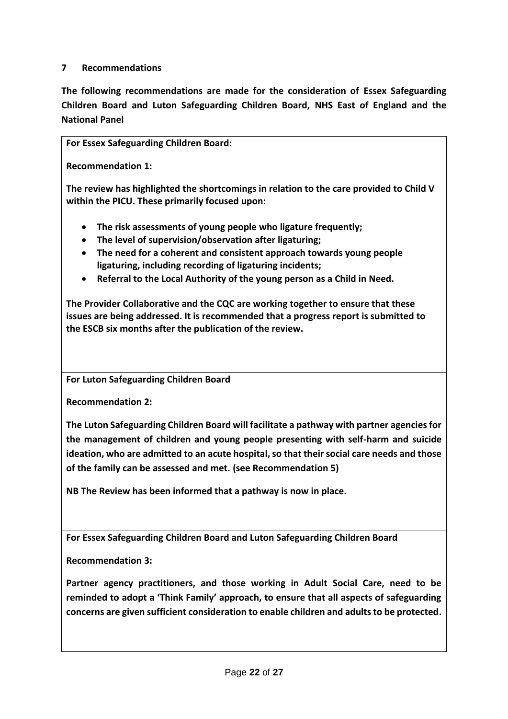#### **7 Recommendations**

**The following recommendations are made for the consideration of Essex Safeguarding Children Board and Luton Safeguarding Children Board, NHS East of England and the National Panel**

**For Essex Safeguarding Children Board:**

**Recommendation 1:**

**The review has highlighted the shortcomings in relation to the care provided to Child V within the PICU. These primarily focused upon:**

- **The risk assessments of young people who ligature frequently;**
- **The level of supervision/observation after ligaturing;**
- **The need for a coherent and consistent approach towards young people ligaturing, including recording of ligaturing incidents;**
- **Referral to the Local Authority of the young person as a Child in Need.**

**The Provider Collaborative and the CQC are working together to ensure that these issues are being addressed. It is recommended that a progress report is submitted to the ESCB six months after the publication of the review.** 

**For Luton Safeguarding Children Board**

**Recommendation 2:**

**The Luton Safeguarding Children Board will facilitate a pathway with partner agencies for the management of children and young people presenting with self-harm and suicide ideation, who are admitted to an acute hospital, so that their social care needs and those of the family can be assessed and met. (see Recommendation 5)**

**NB The Review has been informed that a pathway is now in place.**

**For Essex Safeguarding Children Board and Luton Safeguarding Children Board**

**Recommendation 3:**

**Partner agency practitioners, and those working in Adult Social Care, need to be reminded to adopt a 'Think Family' approach, to ensure that all aspects of safeguarding concerns are given sufficient consideration to enable children and adults to be protected.**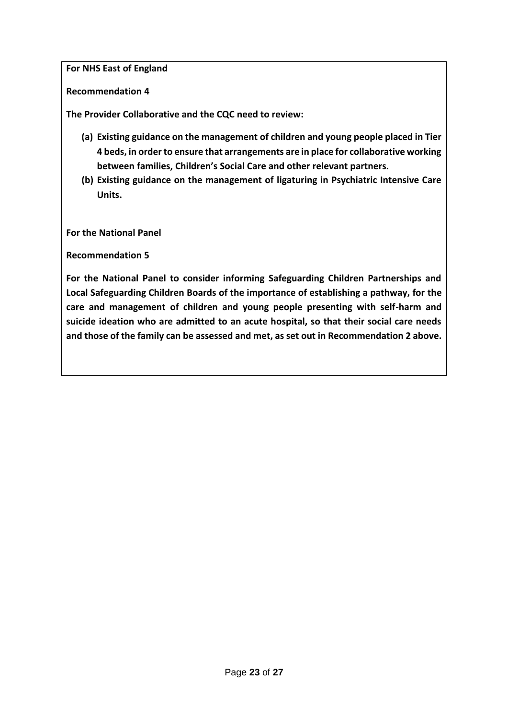**For NHS East of England**

**Recommendation 4**

**The Provider Collaborative and the CQC need to review:**

- **(a) Existing guidance on the management of children and young people placed in Tier 4 beds, in order to ensure that arrangements are in place for collaborative working between families, Children's Social Care and other relevant partners.**
- **(b) Existing guidance on the management of ligaturing in Psychiatric Intensive Care Units.**

**For the National Panel**

**Recommendation 5**

**For the National Panel to consider informing Safeguarding Children Partnerships and Local Safeguarding Children Boards of the importance of establishing a pathway, for the care and management of children and young people presenting with self-harm and suicide ideation who are admitted to an acute hospital, so that their social care needs and those of the family can be assessed and met, as set out in Recommendation 2 above.**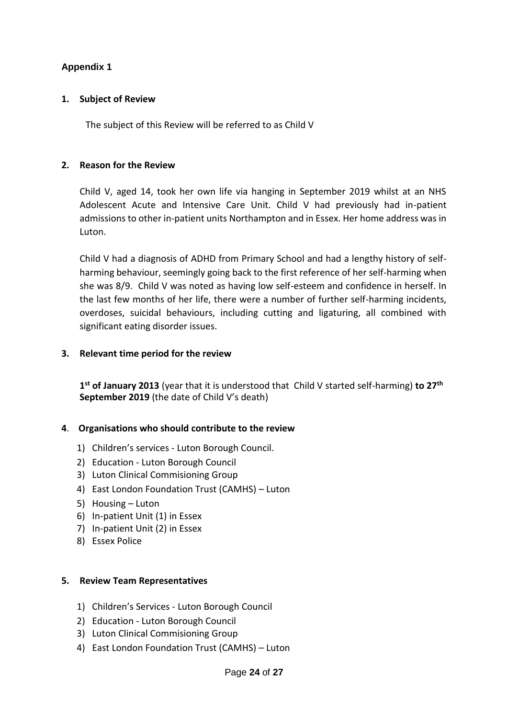## **Appendix 1**

#### **1. Subject of Review**

The subject of this Review will be referred to as Child V

#### **2. Reason for the Review**

Child V, aged 14, took her own life via hanging in September 2019 whilst at an NHS Adolescent Acute and Intensive Care Unit. Child V had previously had in-patient admissions to other in-patient units Northampton and in Essex. Her home address was in Luton.

Child V had a diagnosis of ADHD from Primary School and had a lengthy history of selfharming behaviour, seemingly going back to the first reference of her self-harming when she was 8/9. Child V was noted as having low self-esteem and confidence in herself. In the last few months of her life, there were a number of further self-harming incidents, overdoses, suicidal behaviours, including cutting and ligaturing, all combined with significant eating disorder issues.

#### **3. Relevant time period for the review**

**1 st of January 2013** (year that it is understood that Child V started self-harming) **to 27th September 2019** (the date of Child V's death)

#### **4**. **Organisations who should contribute to the review**

- 1) Children's services Luton Borough Council.
- 2) Education Luton Borough Council
- 3) Luton Clinical Commisioning Group
- 4) East London Foundation Trust (CAMHS) Luton
- 5) Housing Luton
- 6) In-patient Unit (1) in Essex
- 7) In-patient Unit (2) in Essex
- 8) Essex Police

#### **5. Review Team Representatives**

- 1) Children's Services Luton Borough Council
- 2) Education Luton Borough Council
- 3) Luton Clinical Commisioning Group
- 4) East London Foundation Trust (CAMHS) Luton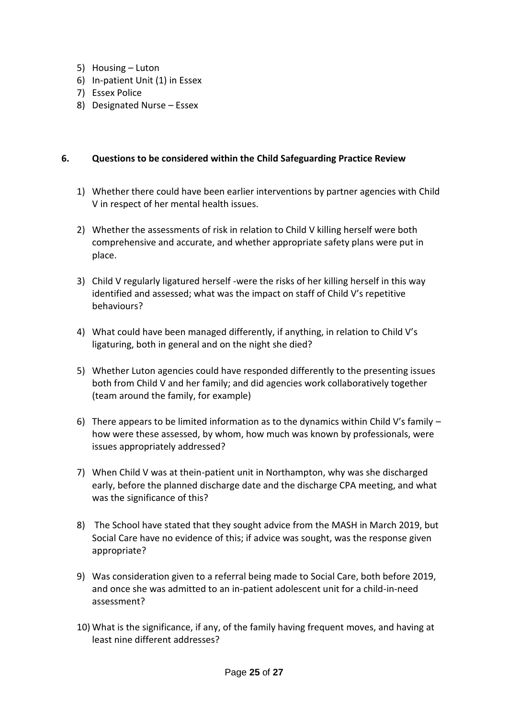- 5) Housing Luton
- 6) In-patient Unit (1) in Essex
- 7) Essex Police
- 8) Designated Nurse Essex

#### **6. Questions to be considered within the Child Safeguarding Practice Review**

- 1) Whether there could have been earlier interventions by partner agencies with Child V in respect of her mental health issues.
- 2) Whether the assessments of risk in relation to Child V killing herself were both comprehensive and accurate, and whether appropriate safety plans were put in place.
- 3) Child V regularly ligatured herself -were the risks of her killing herself in this way identified and assessed; what was the impact on staff of Child V's repetitive behaviours?
- 4) What could have been managed differently, if anything, in relation to Child V's ligaturing, both in general and on the night she died?
- 5) Whether Luton agencies could have responded differently to the presenting issues both from Child V and her family; and did agencies work collaboratively together (team around the family, for example)
- 6) There appears to be limited information as to the dynamics within Child V's family  $$ how were these assessed, by whom, how much was known by professionals, were issues appropriately addressed?
- 7) When Child V was at thein-patient unit in Northampton, why was she discharged early, before the planned discharge date and the discharge CPA meeting, and what was the significance of this?
- 8) The School have stated that they sought advice from the MASH in March 2019, but Social Care have no evidence of this; if advice was sought, was the response given appropriate?
- 9) Was consideration given to a referral being made to Social Care, both before 2019, and once she was admitted to an in-patient adolescent unit for a child-in-need assessment?
- 10) What is the significance, if any, of the family having frequent moves, and having at least nine different addresses?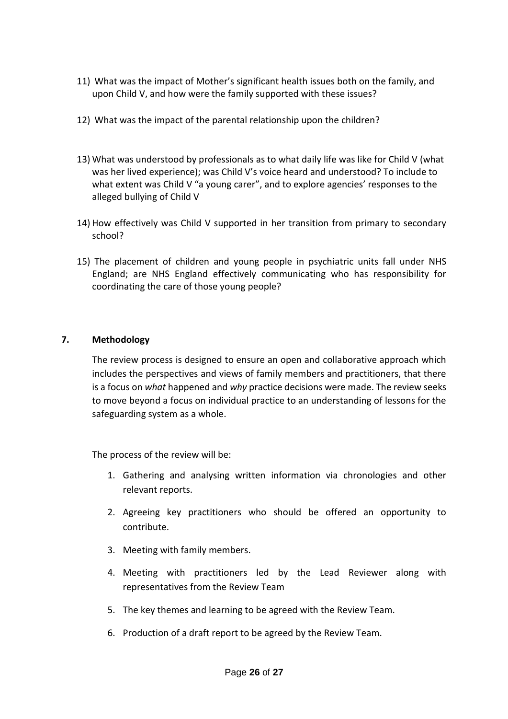- 11) What was the impact of Mother's significant health issues both on the family, and upon Child V, and how were the family supported with these issues?
- 12) What was the impact of the parental relationship upon the children?
- 13) What was understood by professionals as to what daily life was like for Child V (what was her lived experience); was Child V's voice heard and understood? To include to what extent was Child V "a young carer", and to explore agencies' responses to the alleged bullying of Child V
- 14) How effectively was Child V supported in her transition from primary to secondary school?
- 15) The placement of children and young people in psychiatric units fall under NHS England; are NHS England effectively communicating who has responsibility for coordinating the care of those young people?

#### **7. Methodology**

The review process is designed to ensure an open and collaborative approach which includes the perspectives and views of family members and practitioners, that there is a focus on *what* happened and *why* practice decisions were made. The review seeks to move beyond a focus on individual practice to an understanding of lessons for the safeguarding system as a whole.

The process of the review will be:

- 1. Gathering and analysing written information via chronologies and other relevant reports.
- 2. Agreeing key practitioners who should be offered an opportunity to contribute.
- 3. Meeting with family members.
- 4. Meeting with practitioners led by the Lead Reviewer along with representatives from the Review Team
- 5. The key themes and learning to be agreed with the Review Team.
- 6. Production of a draft report to be agreed by the Review Team.